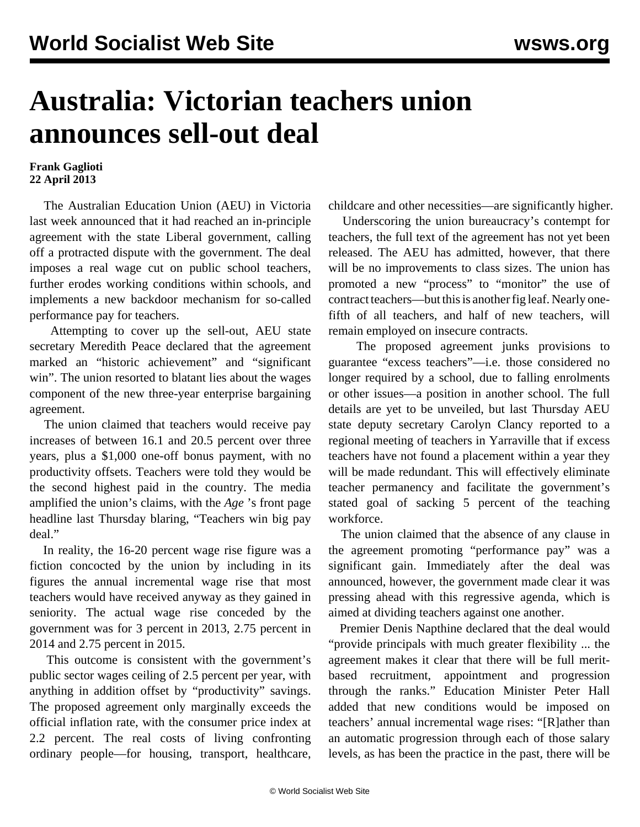## **Australia: Victorian teachers union announces sell-out deal**

## **Frank Gaglioti 22 April 2013**

 The Australian Education Union (AEU) in Victoria last week announced that it had reached an in-principle agreement with the state Liberal government, calling off a protracted dispute with the government. The deal imposes a real wage cut on public school teachers, further erodes working conditions within schools, and implements a new backdoor mechanism for so-called performance pay for teachers.

 Attempting to cover up the sell-out, AEU state secretary Meredith Peace declared that the agreement marked an "historic achievement" and "significant win". The union resorted to blatant lies about the wages component of the new three-year enterprise bargaining agreement.

 The union claimed that teachers would receive pay increases of between 16.1 and 20.5 percent over three years, plus a \$1,000 one-off bonus payment, with no productivity offsets. Teachers were told they would be the second highest paid in the country. The media amplified the union's claims, with the *Age* 's front page headline last Thursday blaring, "Teachers win big pay deal."

 In reality, the 16-20 percent wage rise figure was a fiction concocted by the union by including in its figures the annual incremental wage rise that most teachers would have received anyway as they gained in seniority. The actual wage rise conceded by the government was for 3 percent in 2013, 2.75 percent in 2014 and 2.75 percent in 2015.

 This outcome is consistent with the government's public sector wages ceiling of 2.5 percent per year, with anything in addition offset by "productivity" savings. The proposed agreement only marginally exceeds the official inflation rate, with the consumer price index at 2.2 percent. The real costs of living confronting ordinary people—for housing, transport, healthcare, childcare and other necessities—are significantly higher.

 Underscoring the union bureaucracy's contempt for teachers, the full text of the agreement has not yet been released. The AEU has admitted, however, that there will be no improvements to class sizes. The union has promoted a new "process" to "monitor" the use of contract teachers—but this is another fig leaf. Nearly onefifth of all teachers, and half of new teachers, will remain employed on insecure contracts.

 The proposed agreement junks provisions to guarantee "excess teachers"—i.e. those considered no longer required by a school, due to falling enrolments or other issues—a position in another school. The full details are yet to be unveiled, but last Thursday AEU state deputy secretary Carolyn Clancy reported to a regional meeting of teachers in Yarraville that if excess teachers have not found a placement within a year they will be made redundant. This will effectively eliminate teacher permanency and facilitate the government's stated goal of sacking 5 percent of the teaching workforce.

 The union claimed that the absence of any clause in the agreement promoting "performance pay" was a significant gain. Immediately after the deal was announced, however, the government made clear it was pressing ahead with this regressive agenda, which is aimed at dividing teachers against one another.

 Premier Denis Napthine declared that the deal would "provide principals with much greater flexibility ... the agreement makes it clear that there will be full meritbased recruitment, appointment and progression through the ranks." Education Minister Peter Hall added that new conditions would be imposed on teachers' annual incremental wage rises: "[R]ather than an automatic progression through each of those salary levels, as has been the practice in the past, there will be